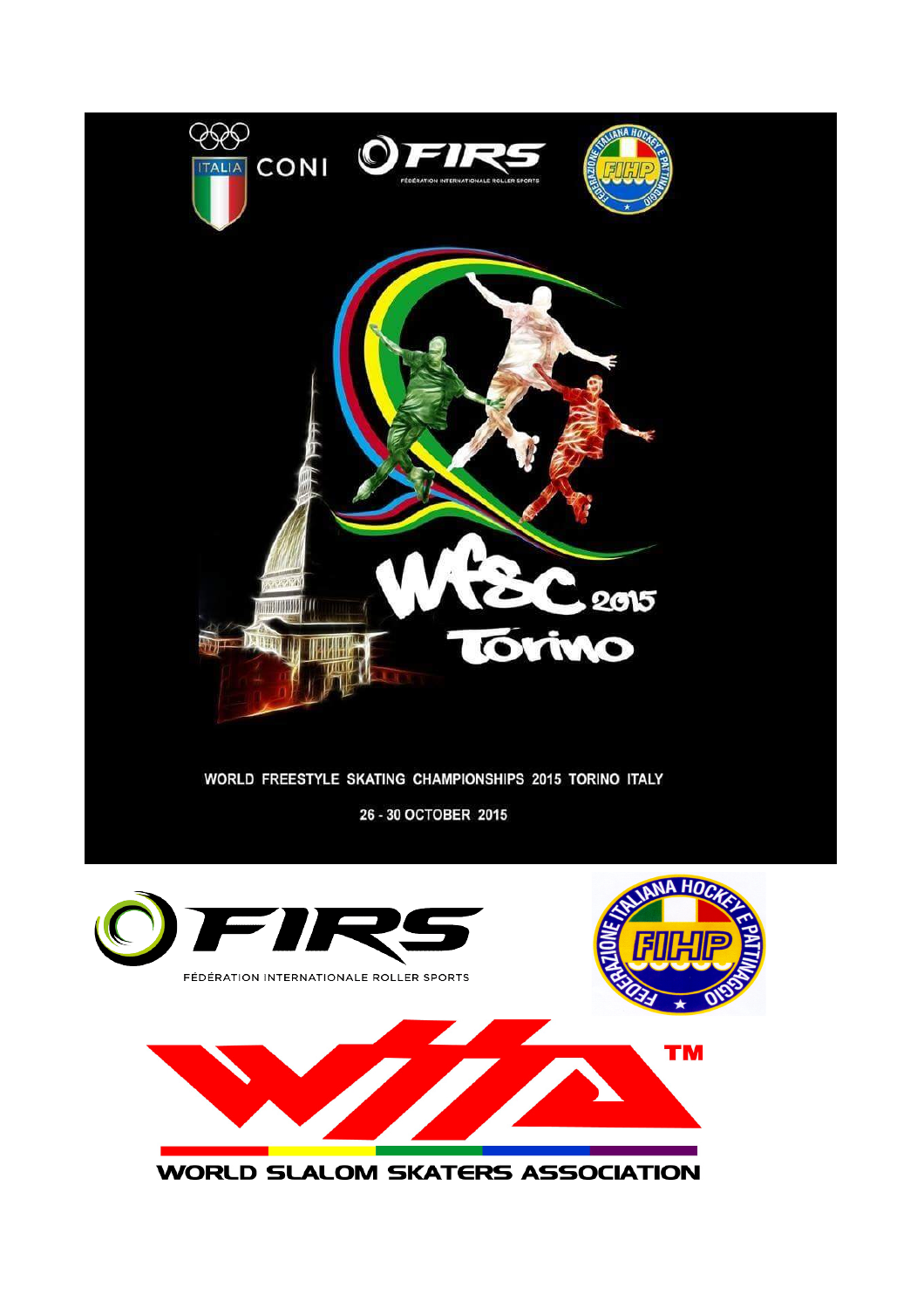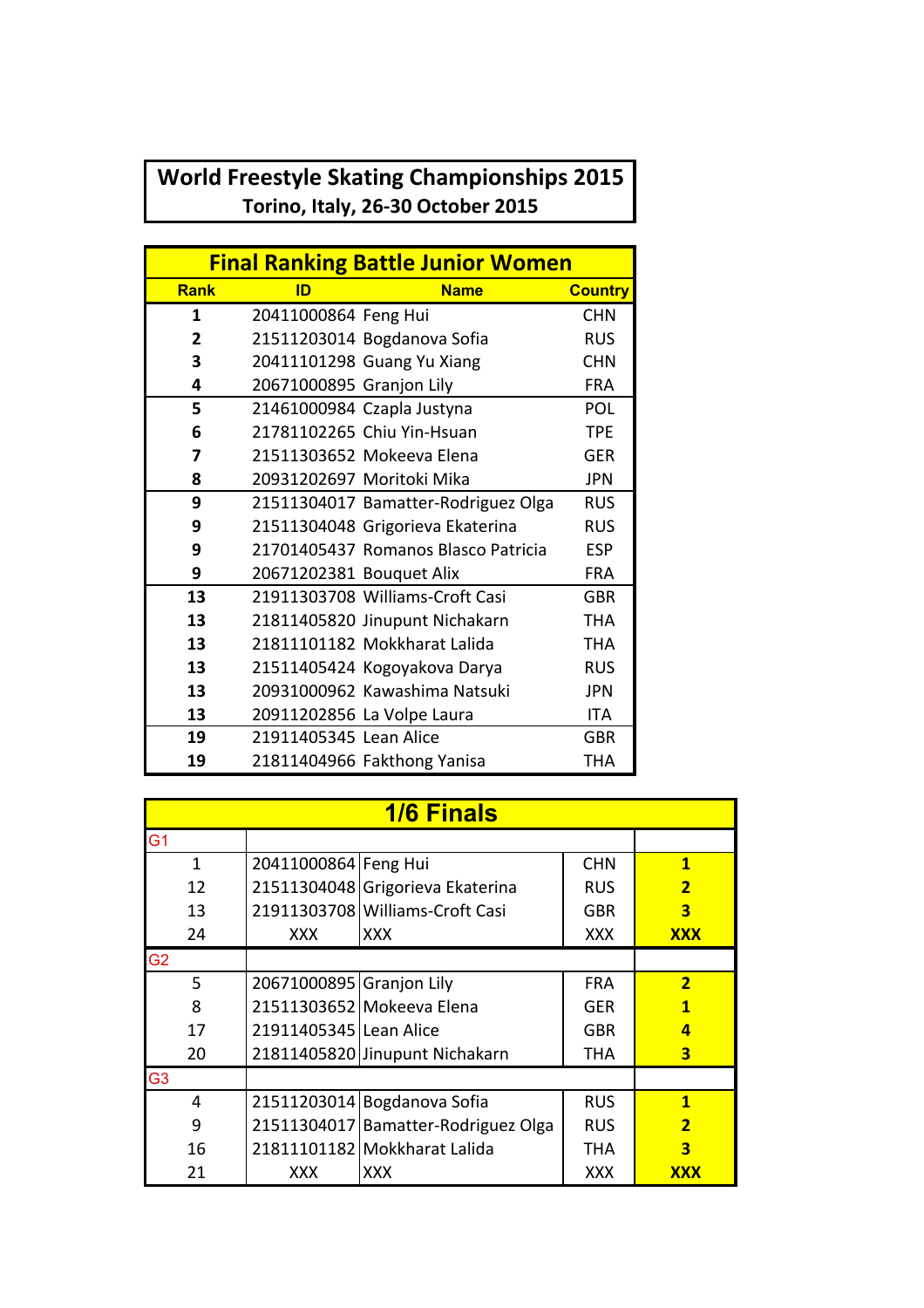## **World Freestyle Skating Championships 2015** Torino, Italy, 26-30 October 2015

| <b>Final Ranking Battle Junior Women</b> |                          |                                     |                |  |
|------------------------------------------|--------------------------|-------------------------------------|----------------|--|
| <b>Rank</b>                              | ID                       | <b>Name</b>                         | <b>Country</b> |  |
| 1                                        | 20411000864 Feng Hui     |                                     | <b>CHN</b>     |  |
| $\overline{2}$                           |                          | 21511203014 Bogdanova Sofia         | <b>RUS</b>     |  |
| 3                                        |                          | 20411101298 Guang Yu Xiang          | <b>CHN</b>     |  |
| 4                                        | 20671000895 Granjon Lily |                                     | <b>FRA</b>     |  |
| 5                                        |                          | 21461000984 Czapla Justyna          | <b>POL</b>     |  |
| 6                                        |                          | 21781102265 Chiu Yin-Hsuan          | <b>TPE</b>     |  |
| 7                                        |                          | 21511303652 Mokeeva Elena           | <b>GFR</b>     |  |
| 8                                        |                          | 20931202697 Moritoki Mika           | <b>JPN</b>     |  |
| 9                                        |                          | 21511304017 Bamatter-Rodriguez Olga | <b>RUS</b>     |  |
| 9                                        |                          | 21511304048 Grigorieva Ekaterina    | <b>RUS</b>     |  |
| 9                                        |                          | 21701405437 Romanos Blasco Patricia | <b>ESP</b>     |  |
| 9                                        | 20671202381 Bouquet Alix |                                     | <b>FRA</b>     |  |
| 13                                       |                          | 21911303708 Williams-Croft Casi     | <b>GBR</b>     |  |
| 13                                       |                          | 21811405820 Jinupunt Nichakarn      | THA            |  |
| 13                                       |                          | 21811101182 Mokkharat Lalida        | <b>THA</b>     |  |
| 13                                       |                          | 21511405424 Kogoyakova Darya        | <b>RUS</b>     |  |
| 13                                       |                          | 20931000962 Kawashima Natsuki       | <b>JPN</b>     |  |
| 13                                       |                          | 20911202856 La Volpe Laura          | <b>ITA</b>     |  |
| 19                                       | 21911405345 Lean Alice   |                                     | <b>GBR</b>     |  |
| 19                                       |                          | 21811404966 Fakthong Yanisa         | <b>THA</b>     |  |

| <b>1/6 Finals</b> |                          |                                     |            |                         |  |
|-------------------|--------------------------|-------------------------------------|------------|-------------------------|--|
| G <sub>1</sub>    |                          |                                     |            |                         |  |
| $\mathbf{1}$      | 20411000864 Feng Hui     |                                     | <b>CHN</b> | $\mathbf{1}$            |  |
| 12                |                          | 21511304048 Grigorieva Ekaterina    | <b>RUS</b> | $\overline{\mathbf{2}}$ |  |
| 13                |                          | 21911303708 Williams-Croft Casi     | <b>GBR</b> | 3                       |  |
| 24                | <b>XXX</b>               | XXX                                 | <b>XXX</b> | <b>XXX</b>              |  |
| G <sub>2</sub>    |                          |                                     |            |                         |  |
| 5                 | 20671000895 Granjon Lily |                                     | <b>FRA</b> | $\overline{2}$          |  |
| 8                 |                          | 21511303652 Mokeeva Elena           | <b>GER</b> | 1                       |  |
| 17                | 21911405345 Lean Alice   |                                     | <b>GBR</b> | 4                       |  |
| 20                |                          | 21811405820 Jinupunt Nichakarn      | THA        | 3                       |  |
| G <sub>3</sub>    |                          |                                     |            |                         |  |
| 4                 | 21511203014              | Bogdanova Sofia                     | <b>RUS</b> | $\mathbf{1}$            |  |
| 9                 |                          | 21511304017 Bamatter-Rodriguez Olga | <b>RUS</b> | $\overline{\mathbf{2}}$ |  |
| 16                |                          | 21811101182 Mokkharat Lalida        | THA        | 3                       |  |
| 21                | XXX                      | XXX                                 | XXX        | <b>XXX</b>              |  |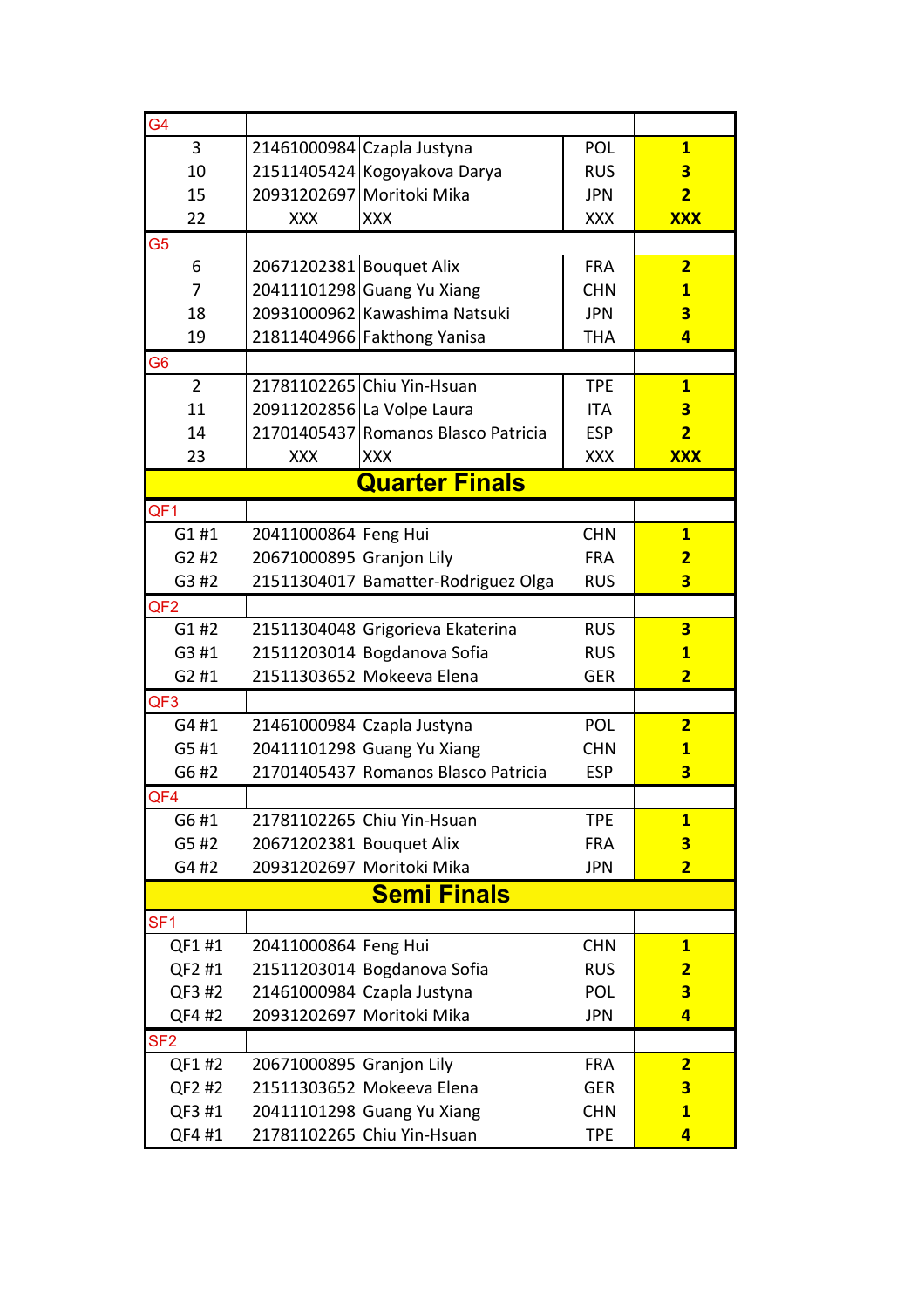| G4                    |                          |                                     |            |                         |
|-----------------------|--------------------------|-------------------------------------|------------|-------------------------|
| 3                     |                          | 21461000984 Czapla Justyna          | POL        | $\mathbf{1}$            |
| 10                    |                          | 21511405424 Kogoyakova Darya        | <b>RUS</b> | 3                       |
| 15                    |                          | 20931202697 Moritoki Mika           | <b>JPN</b> | $\overline{2}$          |
| 22                    | <b>XXX</b>               | <b>XXX</b>                          | <b>XXX</b> | <b>XXX</b>              |
| G5                    |                          |                                     |            |                         |
| 6                     | 20671202381 Bouquet Alix |                                     | <b>FRA</b> | $\overline{2}$          |
| 7                     |                          | 20411101298 Guang Yu Xiang          | <b>CHN</b> | $\mathbf{1}$            |
| 18                    |                          | 20931000962 Kawashima Natsuki       | <b>JPN</b> | $\overline{\mathbf{3}}$ |
| 19                    |                          | 21811404966 Fakthong Yanisa         | <b>THA</b> | $\overline{\mathbf{4}}$ |
| G6                    |                          |                                     |            |                         |
| $\overline{2}$        |                          | 21781102265 Chiu Yin-Hsuan          | <b>TPE</b> | $\overline{\mathbf{1}}$ |
| 11                    |                          | 20911202856 La Volpe Laura          | <b>ITA</b> | 3                       |
| 14                    |                          | 21701405437 Romanos Blasco Patricia | <b>ESP</b> | $\overline{2}$          |
| 23                    | <b>XXX</b>               | <b>XXX</b>                          | XXX        | <b>XXX</b>              |
| <b>Quarter Finals</b> |                          |                                     |            |                         |
| QF1                   |                          |                                     |            |                         |
| G1#1                  | 20411000864 Feng Hui     |                                     | <b>CHN</b> | $\mathbf{1}$            |
| G2#2                  | 20671000895 Granjon Lily |                                     | <b>FRA</b> | $\overline{2}$          |
| G3 #2                 |                          | 21511304017 Bamatter-Rodriguez Olga | <b>RUS</b> | $\overline{\mathbf{3}}$ |
| QF <sub>2</sub>       |                          |                                     |            |                         |
| G1#2                  |                          | 21511304048 Grigorieva Ekaterina    | <b>RUS</b> | 3                       |
| G3 #1                 |                          | 21511203014 Bogdanova Sofia         | <b>RUS</b> | $\mathbf{1}$            |
| G2 #1                 |                          | 21511303652 Mokeeva Elena           | <b>GER</b> | $\overline{2}$          |
| QF <sub>3</sub>       |                          |                                     |            |                         |
| G4#1                  |                          | 21461000984 Czapla Justyna          | POL        | $\overline{2}$          |
| G5#1                  |                          | 20411101298 Guang Yu Xiang          | <b>CHN</b> | $\mathbf{1}$            |
| G6 #2                 |                          | 21701405437 Romanos Blasco Patricia | <b>ESP</b> | $\overline{\mathbf{3}}$ |
| QF4                   |                          |                                     |            |                         |
| G6#1                  |                          | 21781102265 Chiu Yin-Hsuan          | <b>TPE</b> | $\mathbf{1}$            |
| G5 #2                 | 20671202381 Bouquet Alix |                                     | <b>FRA</b> | 3                       |
| G4 #2                 |                          | 20931202697 Moritoki Mika           | <b>JPN</b> | $\overline{2}$          |
|                       |                          | <b>Semi Finals</b>                  |            |                         |
| SF <sub>1</sub>       |                          |                                     |            |                         |
| QF1 #1                | 20411000864 Feng Hui     |                                     | <b>CHN</b> | $\mathbf{1}$            |
| QF2 #1                |                          | 21511203014 Bogdanova Sofia         | <b>RUS</b> | $\overline{2}$          |
| QF3 #2                |                          | 21461000984 Czapla Justyna          | POL        | $\overline{\mathbf{3}}$ |
| QF4 #2                |                          | 20931202697 Moritoki Mika           | <b>JPN</b> | 4                       |
| SF <sub>2</sub>       |                          |                                     |            |                         |
| QF1 #2                | 20671000895 Granjon Lily |                                     | <b>FRA</b> | $\overline{2}$          |
| QF2 #2                |                          | 21511303652 Mokeeva Elena           | <b>GER</b> | 3                       |
| QF3 #1                |                          | 20411101298 Guang Yu Xiang          | <b>CHN</b> | $\overline{1}$          |
| QF4 #1                |                          | 21781102265 Chiu Yin-Hsuan          | <b>TPE</b> | $\overline{\mathbf{4}}$ |